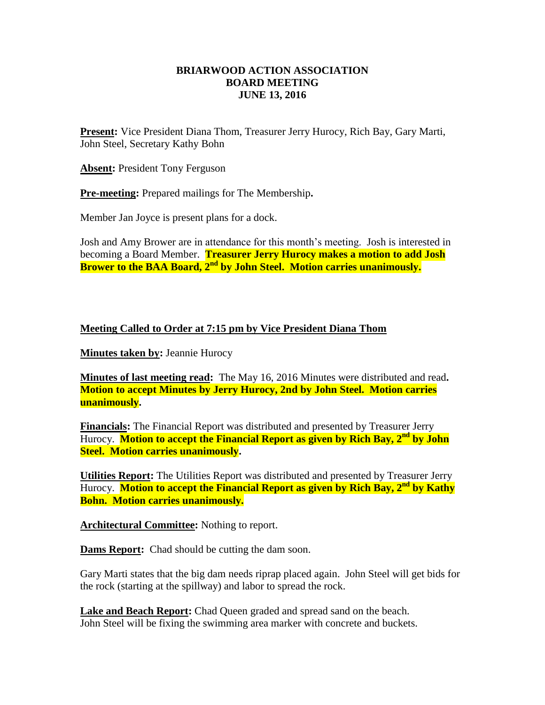## **BRIARWOOD ACTION ASSOCIATION BOARD MEETING JUNE 13, 2016**

**Present:** Vice President Diana Thom, Treasurer Jerry Hurocy, Rich Bay, Gary Marti, John Steel, Secretary Kathy Bohn

**Absent:** President Tony Ferguson

**Pre-meeting:** Prepared mailings for The Membership**.**

Member Jan Joyce is present plans for a dock.

Josh and Amy Brower are in attendance for this month's meeting. Josh is interested in becoming a Board Member. **Treasurer Jerry Hurocy makes a motion to add Josh Brower to the BAA Board, 2nd by John Steel. Motion carries unanimously.** 

## **Meeting Called to Order at 7:15 pm by Vice President Diana Thom**

**Minutes taken by:** Jeannie Hurocy

**Minutes of last meeting read:** The May 16, 2016 Minutes were distributed and read**. Motion to accept Minutes by Jerry Hurocy, 2nd by John Steel. Motion carries unanimously.**

**Financials:** The Financial Report was distributed and presented by Treasurer Jerry Hurocy. **Motion to accept the Financial Report as given by Rich Bay, 2nd by John Steel. Motion carries unanimously.**

**Utilities Report:** The Utilities Report was distributed and presented by Treasurer Jerry Hurocy. **Motion to accept the Financial Report as given by Rich Bay, 2nd by Kathy Bohn. Motion carries unanimously.**

**Architectural Committee:** Nothing to report.

**Dams Report:** Chad should be cutting the dam soon.

Gary Marti states that the big dam needs riprap placed again. John Steel will get bids for the rock (starting at the spillway) and labor to spread the rock.

**Lake and Beach Report:** Chad Queen graded and spread sand on the beach. John Steel will be fixing the swimming area marker with concrete and buckets.